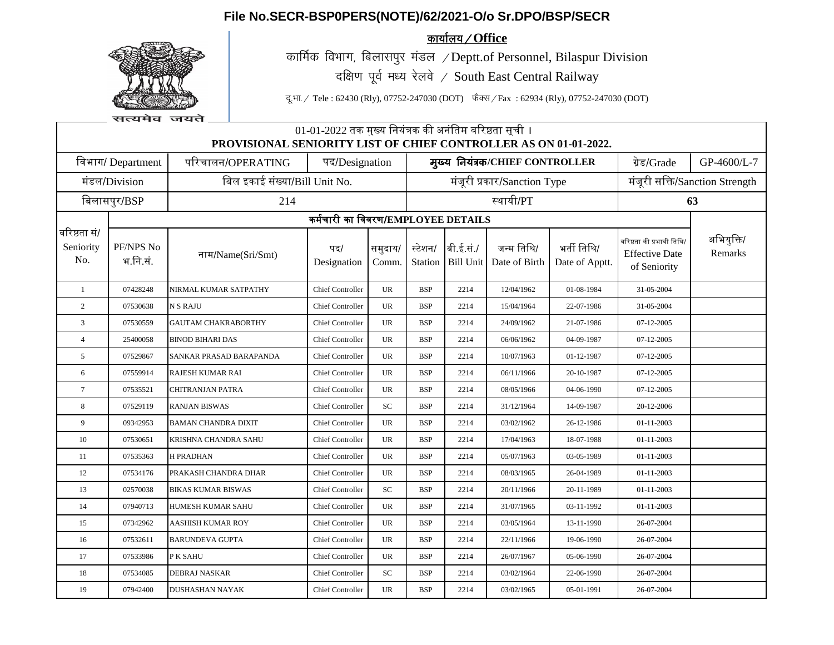## **File No.SECR-BSP0PERS(NOTE)/62/2021-O/o Sr.DPO/BSP/SECR**



<u>कार्यालय / Office</u>

कार्मिक विभाग, बिलासपुर मंडल  $\angle$ Deptt.of Personnel, Bilaspur Division दक्षिण पूर्व मध्य रेलवे / South East Central Railway

दू.भा. / Tele : 62430 (Rly), 07752-247030 (DOT) फैक्स / Fax : 62934 (Rly), 07752-247030 (DOT)

| सत्यमव | जयते |
|--------|------|

| 01-01-2022 तक मुख्य नियंत्रक की अनंतिम वरिष्ठता सूची ।<br>PROVISIONAL SENIORITY LIST OF CHIEF CONTROLLER AS ON 01-01-2022. |                                    |                               |                         |                  |                             |                                |                                 |                               |                                                                    |                       |  |
|----------------------------------------------------------------------------------------------------------------------------|------------------------------------|-------------------------------|-------------------------|------------------|-----------------------------|--------------------------------|---------------------------------|-------------------------------|--------------------------------------------------------------------|-----------------------|--|
| विभाग/ Department                                                                                                          |                                    | परिचालन/OPERATING             | पद/Designation          |                  |                             |                                | मुख्य नियंत्रक/CHIEF CONTROLLER | ग्रेड/Grade                   | GP-4600/L-7                                                        |                       |  |
| मंडल/Division                                                                                                              |                                    | बिल इकाई संख्या/Bill Unit No. |                         |                  | मंजूरी प्रकार/Sanction Type |                                |                                 |                               | मंजूरी सक्ति/Sanction Strength                                     |                       |  |
| बिलासपुर/BSP                                                                                                               |                                    | 214                           |                         |                  |                             | स्थायी/PT                      |                                 |                               |                                                                    | 63                    |  |
|                                                                                                                            | कर्मचारी का विवरण/EMPLOYEE DETAILS |                               |                         |                  |                             |                                |                                 |                               |                                                                    |                       |  |
| वरिष्ठता सं/<br>Seniority<br>No.                                                                                           | PF/NPS No<br>भ.नि.सं.              | नाम/Name(Sri/Smt)             | पद/<br>Designation      | समुदाय/<br>Comm. | स्टेशन/                     | बी.ई.सं./<br>Station Bill Unit | जन्म तिथि/<br>Date of Birth     | भर्ती तिथि/<br>Date of Apptt. | वरिष्ठता की प्रभावी तिथि/<br><b>Effective Date</b><br>of Seniority | अभियुक्ति/<br>Remarks |  |
| $\mathbf{1}$                                                                                                               | 07428248                           | NIRMAL KUMAR SATPATHY         | <b>Chief Controller</b> | <b>UR</b>        | <b>BSP</b>                  | 2214                           | 12/04/1962                      | 01-08-1984                    | 31-05-2004                                                         |                       |  |
| 2                                                                                                                          | 07530638                           | <b>N S RAJU</b>               | <b>Chief Controller</b> | <b>UR</b>        | <b>BSP</b>                  | 2214                           | 15/04/1964                      | 22-07-1986                    | 31-05-2004                                                         |                       |  |
| $\overline{3}$                                                                                                             | 07530559                           | <b>GAUTAM CHAKRABORTHY</b>    | <b>Chief Controller</b> | UR               | <b>BSP</b>                  | 2214                           | 24/09/1962                      | 21-07-1986                    | 07-12-2005                                                         |                       |  |
| $\overline{4}$                                                                                                             | 25400058                           | <b>BINOD BIHARI DAS</b>       | <b>Chief Controller</b> | <b>UR</b>        | <b>BSP</b>                  | 2214                           | 06/06/1962                      | 04-09-1987                    | 07-12-2005                                                         |                       |  |
| 5                                                                                                                          | 07529867                           | SANKAR PRASAD BARAPANDA       | <b>Chief Controller</b> | UR               | <b>BSP</b>                  | 2214                           | 10/07/1963                      | 01-12-1987                    | 07-12-2005                                                         |                       |  |
| 6                                                                                                                          | 07559914                           | <b>RAJESH KUMAR RAI</b>       | <b>Chief Controller</b> | UR               | BSP                         | 2214                           | 06/11/1966                      | 20-10-1987                    | 07-12-2005                                                         |                       |  |
| $\tau$                                                                                                                     | 07535521                           | CHITRANJAN PATRA              | <b>Chief Controller</b> | <b>UR</b>        | <b>BSP</b>                  | 2214                           | 08/05/1966                      | 04-06-1990                    | 07-12-2005                                                         |                       |  |
| 8                                                                                                                          | 07529119                           | <b>RANJAN BISWAS</b>          | <b>Chief Controller</b> | SC               | BSP                         | 2214                           | 31/12/1964                      | 14-09-1987                    | 20-12-2006                                                         |                       |  |
| 9                                                                                                                          | 09342953                           | <b>BAMAN CHANDRA DIXIT</b>    | <b>Chief Controller</b> | UR               | BSP                         | 2214                           | 03/02/1962                      | 26-12-1986                    | 01-11-2003                                                         |                       |  |
| 10                                                                                                                         | 07530651                           | KRISHNA CHANDRA SAHU          | <b>Chief Controller</b> | UR               | <b>BSP</b>                  | 2214                           | 17/04/1963                      | 18-07-1988                    | 01-11-2003                                                         |                       |  |
| -11                                                                                                                        | 07535363                           | <b>H PRADHAN</b>              | <b>Chief Controller</b> | UR               | <b>BSP</b>                  | 2214                           | 05/07/1963                      | 03-05-1989                    | 01-11-2003                                                         |                       |  |
| 12                                                                                                                         | 07534176                           | PRAKASH CHANDRA DHAR          | <b>Chief Controller</b> | UR               | BSP                         | 2214                           | 08/03/1965                      | 26-04-1989                    | 01-11-2003                                                         |                       |  |
| 13                                                                                                                         | 02570038                           | <b>BIKAS KUMAR BISWAS</b>     | <b>Chief Controller</b> | <b>SC</b>        | <b>BSP</b>                  | 2214                           | 20/11/1966                      | 20-11-1989                    | 01-11-2003                                                         |                       |  |
| 14                                                                                                                         | 07940713                           | <b>HUMESH KUMAR SAHU</b>      | <b>Chief Controller</b> | UR               | <b>BSP</b>                  | 2214                           | 31/07/1965                      | 03-11-1992                    | 01-11-2003                                                         |                       |  |
| 15                                                                                                                         | 07342962                           | AASHISH KUMAR ROY             | <b>Chief Controller</b> | <b>UR</b>        | <b>BSP</b>                  | 2214                           | 03/05/1964                      | 13-11-1990                    | 26-07-2004                                                         |                       |  |
| 16                                                                                                                         | 07532611                           | <b>BARUNDEVA GUPTA</b>        | <b>Chief Controller</b> | <b>UR</b>        | <b>BSP</b>                  | 2214                           | 22/11/1966                      | 19-06-1990                    | 26-07-2004                                                         |                       |  |
| 17                                                                                                                         | 07533986                           | P K SAHU                      | <b>Chief Controller</b> | UR               | <b>BSP</b>                  | 2214                           | 26/07/1967                      | 05-06-1990                    | 26-07-2004                                                         |                       |  |
| 18                                                                                                                         | 07534085                           | <b>DEBRAJ NASKAR</b>          | <b>Chief Controller</b> | <b>SC</b>        | <b>BSP</b>                  | 2214                           | 03/02/1964                      | 22-06-1990                    | 26-07-2004                                                         |                       |  |
| 19                                                                                                                         | 07942400                           | <b>DUSHASHAN NAYAK</b>        | <b>Chief Controller</b> | <b>UR</b>        | <b>BSP</b>                  | 2214                           | 03/02/1965                      | 05-01-1991                    | 26-07-2004                                                         |                       |  |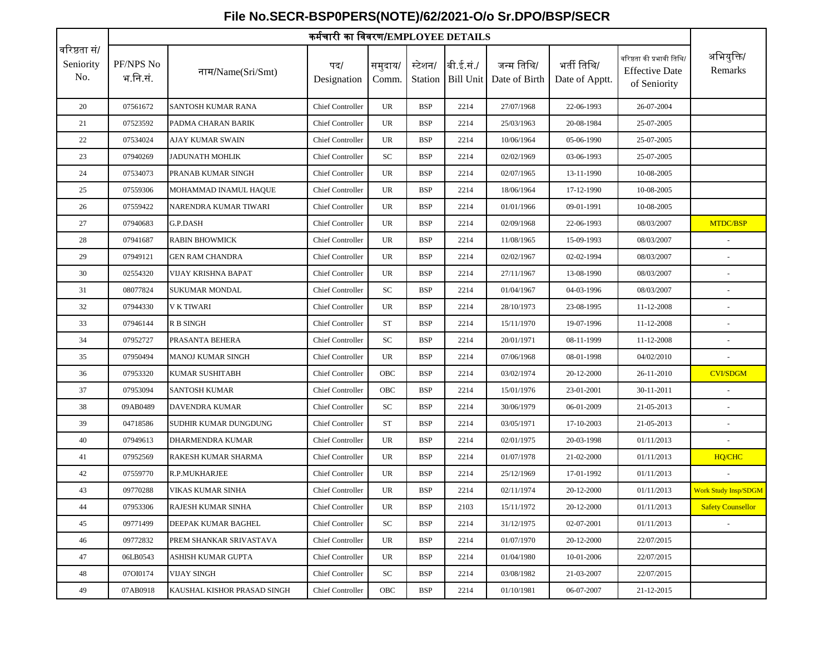## PF/NPS No भ.नि.सं. नाम/Name(Sri/Smt) पद/ Designation समुदाय/ Comm. स्टेशन/ Station Bill Unit बी.ई.स./ ं जन्म निनि/ Date of Birth भर्ती तिथि/ Date of Apptt. वररष्ठिा की प्रभावी निनि/ Effective Date of Seniority कममचारी का नववरण/**EMPLOYEE DETAILS** अनभयुनि/ Remarks वरिष्ठता सं/ Seniority No. 20 07561672 SANTOSH KUMAR RANA Chief Controller UR BSP 2214 27/07/1968 22-06-1993 26-07-2004 21 07523592 PADMA CHARAN BARIK Chief Controller UR BSP 2214 25/03/1963 20-08-1984 25-07-2005 22 07534024 AJAY KUMAR SWAIN Chief Controller UR BSP 2214 10/06/1964 05-06-1990 25-07-2005 23 07940269 JADUNATH MOHLIK Chief Controller SC BSP 2214 02/02/1969 03-06-1993 25-07-2005 24 07534073 PRANAB KUMAR SINGH Chief Controller UR BSP 2214 02/07/1965 13-11-1990 10-08-2005 25 07559306 MOHAMMAD INAMUL HAQUE Chief Controller UR BSP 2214 18/06/1964 17-12-1990 10-08-2005 26 07559422 NARENDRA KUMAR TIWARI Chief Controller UR BSP 2214 01/01/1966 09-01-1991 10-08-2005 27 07940683 G.P.DASH Chief Controller UR BSP 2214 02/09/1968 22-06-1993 08/03/2007 MTDC/BSP 28 07941687 RABIN BHOWMICK Chief Controller UR BSP 2214 11/08/1965 15-09-1993 08/03/2007 -29 07949121 GEN RAM CHANDRA Chief Controller UR BSP 2214 02/02/1967 02-02-1994 08/03/2007 --30 02554320 VIJAY KRISHNA BAPAT Chief Controller UR BSP 2214 27/11/1967 13-08-1990 08/03/2007 - 31 08077824 SUKUMAR MONDAL Chief Controller SC BSP 2214 01/04/1967 04-03-1996 08/03/2007 -32 07944330 V K TIWARI Chief Controller UR BSP 2214 28/10/1973 23-08-1995 11-12-2008 -33 07946144 R B SINGH Chief Controller ST BSP 2214 15/11/1970 19-07-1996 11-12-2008 -34 07952727 PRASANTA BEHERA Chief Controller SC BSP 2214 20/01/1971 08-11-1999 11-12-2008 -35 07950494 MANOJ KUMAR SINGH Chief Controller UR BSP 2214 07/06/1968 08-01-1998 04/02/2010 - 36 07953320 KUMAR SUSHITABH | Chief Controller | OBC | BSP | 2214 | 03/02/1974 | 20-12-2000 | 26-11-2010 | CVI/SDGM 37 07953094 SANTOSH KUMAR Chief Controller OBC BSP 2214 15/01/1976 23-01-2001 30-11-2011 -38 09AB0489 DAVENDRA KUMAR Chief Controller SC BSP 2214 30/06/1979 06-01-2009 21-05-2013 39 04718586 SUDHIR KUMAR DUNGDUNG Chief Controller ST BSP 2214 03/05/1971 17-10-2003 21-05-2013 - 40 07949613 DHARMENDRA KUMAR Chief Controller UR BSP 2214 02/01/1975 20-03-1998 01/11/2013 - 41 07952569 RAKESH KUMAR SHARMA Chief Controller UR BSP 2214 01/07/1978 21-02-2000 01/11/2013 HQ/CHC 42 07559770 R.P.MUKHARJEE Chief Controller UR BSP 2214 25/12/1969 17-01-1992 01/11/2013 - 43 09770288 VIKAS KUMAR SINHA Chief Controller UR BSP 2214 02/11/1974 20-12-2000 01/11/2013 <mark>Work Study Insp/SDGM</mark> 44 07953306 RAJESH KUMAR SINHA Chief Controller UR BSP 2103 15/11/1972 20-12-2000 01/11/2013 Safety Counsellor 45 09771499 DEEPAK KUMAR BAGHEL Chief Controller SC BSP 2214 31/12/1975 02-07-2001 01/11/2013 - 46 09772832 PREM SHANKAR SRIVASTAVA Chief Controller UR BSP 2214 01/07/1970 20-12-2000 22/07/2015 47 06LB0543 ASHISH KUMAR GUPTA Chief Controller UR BSP 2214 01/04/1980 10-01-2006 22/07/2015 48 07OI0174 VIJAY SINGH Chief Controller SC BSP 2214 03/08/1982 21-03-2007 22/07/2015 49 07AB0918 KAUSHAL KISHOR PRASAD SINGH Chief Controller OBC BSP 2214 01/10/1981 06-07-2007 21-12-2015

## **File No.SECR-BSP0PERS(NOTE)/62/2021-O/o Sr.DPO/BSP/SECR**